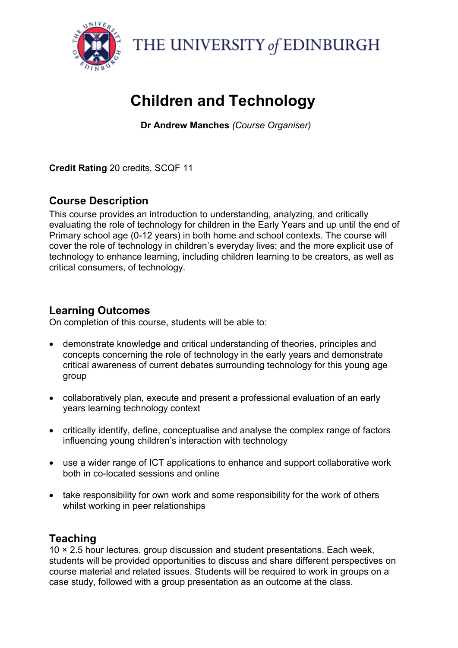

THE UNIVERSITY of EDINBURGH

# **Children and Technology**

**Dr Andrew Manches** *(Course Organiser)*

**Credit Rating** 20 credits, SCQF 11

# **Course Description**

This course provides an introduction to understanding, analyzing, and critically evaluating the role of technology for children in the Early Years and up until the end of Primary school age (0-12 years) in both home and school contexts. The course will cover the role of technology in children's everyday lives; and the more explicit use of technology to enhance learning, including children learning to be creators, as well as critical consumers, of technology.

# **Learning Outcomes**

On completion of this course, students will be able to:

- demonstrate knowledge and critical understanding of theories, principles and concepts concerning the role of technology in the early years and demonstrate critical awareness of current debates surrounding technology for this young age group
- collaboratively plan, execute and present a professional evaluation of an early years learning technology context
- critically identify, define, conceptualise and analyse the complex range of factors influencing young children's interaction with technology
- use a wider range of ICT applications to enhance and support collaborative work both in co-located sessions and online
- take responsibility for own work and some responsibility for the work of others whilst working in peer relationships

# **Teaching**

10 × 2.5 hour lectures, group discussion and student presentations. Each week, students will be provided opportunities to discuss and share different perspectives on course material and related issues. Students will be required to work in groups on a case study, followed with a group presentation as an outcome at the class.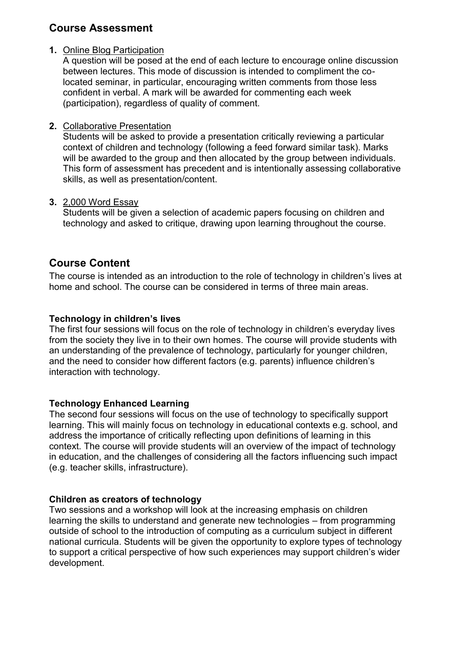# **Course Assessment**

#### **1.** Online Blog Participation

A question will be posed at the end of each lecture to encourage online discussion between lectures. This mode of discussion is intended to compliment the colocated seminar, in particular, encouraging written comments from those less confident in verbal. A mark will be awarded for commenting each week (participation), regardless of quality of comment.

#### **2.** Collaborative Presentation

Students will be asked to provide a presentation critically reviewing a particular context of children and technology (following a feed forward similar task). Marks will be awarded to the group and then allocated by the group between individuals. This form of assessment has precedent and is intentionally assessing collaborative skills, as well as presentation/content.

#### **3.** 2,000 Word Essay

Students will be given a selection of academic papers focusing on children and technology and asked to critique, drawing upon learning throughout the course.

# **Course Content**

The course is intended as an introduction to the role of technology in children's lives at home and school. The course can be considered in terms of three main areas.

#### **Technology in children's lives**

The first four sessions will focus on the role of technology in children's everyday lives from the society they live in to their own homes. The course will provide students with an understanding of the prevalence of technology, particularly for younger children, and the need to consider how different factors (e.g. parents) influence children's interaction with technology.

#### **Technology Enhanced Learning**

The second four sessions will focus on the use of technology to specifically support learning. This will mainly focus on technology in educational contexts e.g. school, and address the importance of critically reflecting upon definitions of learning in this context. The course will provide students will an overview of the impact of technology in education, and the challenges of considering all the factors influencing such impact (e.g. teacher skills, infrastructure).

#### **Children as creators of technology**

Two sessions and a workshop will look at the increasing emphasis on children learning the skills to understand and generate new technologies – from programming outside of school to the introduction of computing as a curriculum subject in different national curricula. Students will be given the opportunity to explore types of technology to support a critical perspective of how such experiences may support children's wider development.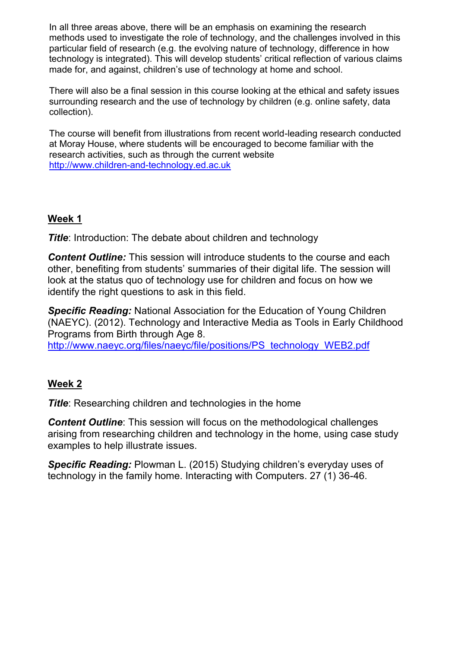In all three areas above, there will be an emphasis on examining the research methods used to investigate the role of technology, and the challenges involved in this particular field of research (e.g. the evolving nature of technology, difference in how technology is integrated). This will develop students' critical reflection of various claims made for, and against, children's use of technology at home and school.

There will also be a final session in this course looking at the ethical and safety issues surrounding research and the use of technology by children (e.g. online safety, data collection).

The course will benefit from illustrations from recent world-leading research conducted at Moray House, where students will be encouraged to become familiar with the research activities, such as through the current website [http://www.children-and-technology.ed.ac.uk](http://www.children-and-technology.ed.ac.uk/)

# **Week 1**

**Title:** Introduction: The debate about children and technology

*Content Outline:* This session will introduce students to the course and each other, benefiting from students' summaries of their digital life. The session will look at the status quo of technology use for children and focus on how we identify the right questions to ask in this field.

*Specific Reading:* National Association for the Education of Young Children (NAEYC). (2012). Technology and Interactive Media as Tools in Early Childhood Programs from Birth through Age 8.

[http://www.naeyc.org/files/naeyc/file/positions/PS\\_technology\\_WEB2.pdf](http://www.naeyc.org/files/naeyc/file/positions/PS_technology_WEB2.pdf)

# **Week 2**

**Title:** Researching children and technologies in the home

**Content Outline**: This session will focus on the methodological challenges arising from researching children and technology in the home, using case study examples to help illustrate issues.

*Specific Reading:* Plowman L. (2015) Studying children's everyday uses of technology in the family home. Interacting with Computers. 27 (1) 36-46.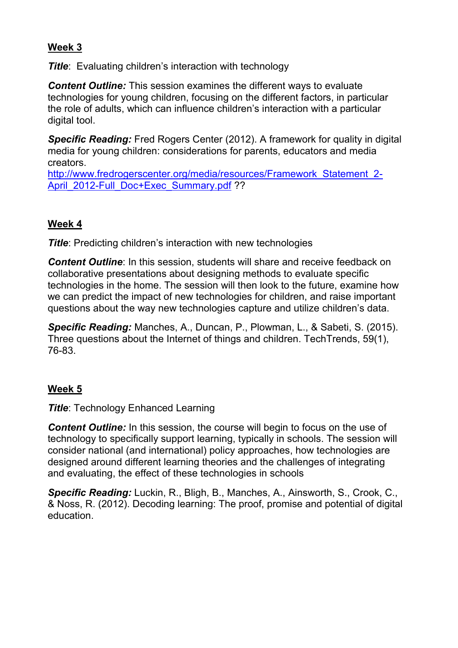## **Week 3**

*Title*: Evaluating children's interaction with technology

*Content Outline:* This session examines the different ways to evaluate technologies for young children, focusing on the different factors, in particular the role of adults, which can influence children's interaction with a particular digital tool.

**Specific Reading:** Fred Rogers Center (2012). A framework for quality in digital media for young children: considerations for parents, educators and media creators.

http://www.fredrogerscenter.org/media/resources/Framework Statement 2-[April\\_2012-Full\\_Doc+Exec\\_Summary.pdf](http://www.fredrogerscenter.org/media/resources/Framework_Statement_2-April_2012-Full_Doc+Exec_Summary.pdf) ??

## **Week 4**

**Title:** Predicting children's interaction with new technologies

*Content Outline*: In this session, students will share and receive feedback on collaborative presentations about designing methods to evaluate specific technologies in the home. The session will then look to the future, examine how we can predict the impact of new technologies for children, and raise important questions about the way new technologies capture and utilize children's data.

*Specific Reading:* Manches, A., Duncan, P., Plowman, L., & Sabeti, S. (2015). Three questions about the Internet of things and children. TechTrends, 59(1), 76-83.

## **Week 5**

*Title*: Technology Enhanced Learning

**Content Outline:** In this session, the course will begin to focus on the use of technology to specifically support learning, typically in schools. The session will consider national (and international) policy approaches, how technologies are designed around different learning theories and the challenges of integrating and evaluating, the effect of these technologies in schools

*Specific Reading:* Luckin, R., Bligh, B., Manches, A., Ainsworth, S., Crook, C., & Noss, R. (2012). Decoding learning: The proof, promise and potential of digital education.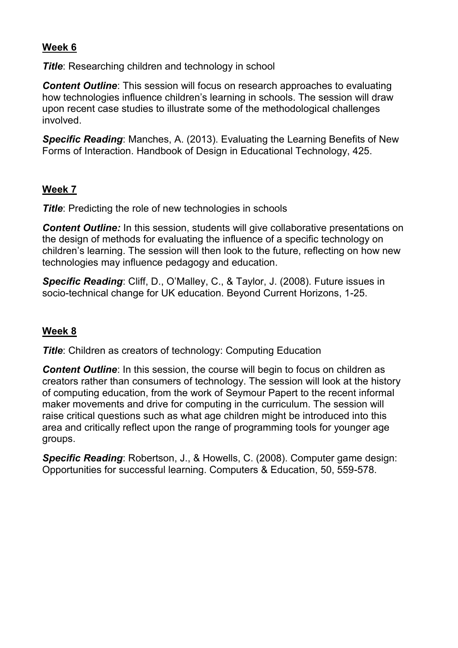# **Week 6**

**Title:** Researching children and technology in school

*Content Outline*: This session will focus on research approaches to evaluating how technologies influence children's learning in schools. The session will draw upon recent case studies to illustrate some of the methodological challenges involved.

*Specific Reading*: Manches, A. (2013). Evaluating the Learning Benefits of New Forms of Interaction. Handbook of Design in Educational Technology, 425.

# **Week 7**

**Title:** Predicting the role of new technologies in schools

**Content Outline:** In this session, students will give collaborative presentations on the design of methods for evaluating the influence of a specific technology on children's learning. The session will then look to the future, reflecting on how new technologies may influence pedagogy and education.

*Specific Reading*: Cliff, D., O'Malley, C., & Taylor, J. (2008). Future issues in socio-technical change for UK education. Beyond Current Horizons, 1-25.

## **Week 8**

**Title:** Children as creators of technology: Computing Education

**Content Outline**: In this session, the course will begin to focus on children as creators rather than consumers of technology. The session will look at the history of computing education, from the work of Seymour Papert to the recent informal maker movements and drive for computing in the curriculum. The session will raise critical questions such as what age children might be introduced into this area and critically reflect upon the range of programming tools for younger age groups.

*Specific Reading*: Robertson, J., & Howells, C. (2008). Computer game design: Opportunities for successful learning. Computers & Education, 50, 559-578.